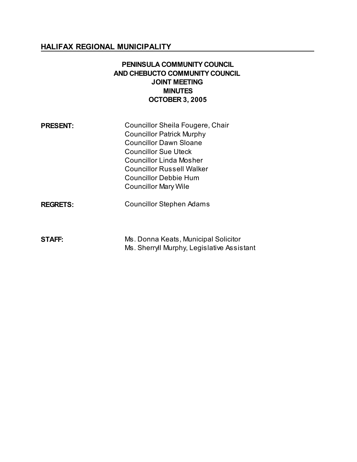# **HALIFAX REGIONAL MUNICIPALITY**

# **PENINSULA COMMUNITY COUNCIL AND CHEBUCTO COMMUNITY COUNCIL JOINT MEETING MINUTES OCTOBER 3, 2005**

| <b>PRESENT:</b> | Councillor Sheila Fougere, Chair<br><b>Councillor Patrick Murphy</b><br><b>Councillor Dawn Sloane</b> |
|-----------------|-------------------------------------------------------------------------------------------------------|
|                 | <b>Councillor Sue Uteck</b>                                                                           |
|                 | <b>Councillor Linda Mosher</b>                                                                        |
|                 | <b>Councillor Russell Walker</b>                                                                      |
|                 | <b>Councillor Debbie Hum</b>                                                                          |
|                 | <b>Councillor Mary Wile</b>                                                                           |
| <b>REGRETS:</b> | <b>Councillor Stephen Adams</b>                                                                       |

| <b>STAFF:</b> | Ms. Donna Keats, Municipal Solicitor       |
|---------------|--------------------------------------------|
|               | Ms. Sherryll Murphy, Legislative Assistant |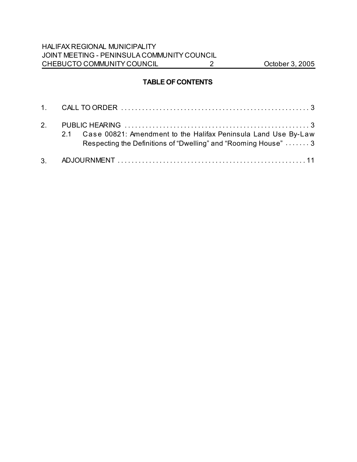# **TABLE OF CONTENTS**

| 2.1 Case 00821: Amendment to the Halifax Peninsula Land Use By-Law<br>Respecting the Definitions of "Dwelling" and "Rooming House"  3 |
|---------------------------------------------------------------------------------------------------------------------------------------|
|                                                                                                                                       |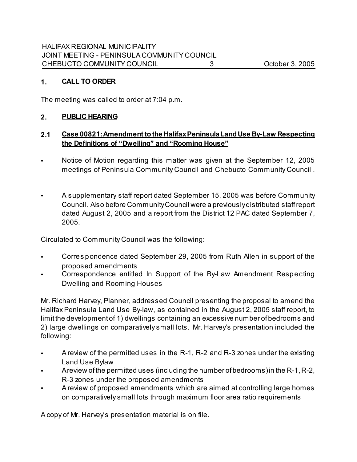# **1. CALL TO ORDER**

The meeting was called to order at 7:04 p.m.

# **2. PUBLIC HEARING**

# **2.1 Case 00821: Amendment to the Halifax Peninsula Land Use By-Law Respecting the Definitions of "Dwelling" and "Rooming House"**

- Notice of Motion regarding this matter was given at the September 12, 2005 meetings of Peninsula Community Council and Chebucto Community Council .
- A supplementary staff report dated September 15, 2005 was before Community Council. Also before Community Council were a previously distributed staff report dated August 2, 2005 and a report from the District 12 PAC dated September 7, 2005.

Circulated to Community Council was the following:

- Corres pondence dated September 29, 2005 from Ruth Allen in support of the proposed amendments
- Correspondence entitled In Support of the By-Law Amendment Respecting Dwelling and Rooming Houses

Mr. Richard Harvey, Planner, addressed Council presenting the proposal to amend the Halifax Peninsula Land Use By-law, as contained in the August 2, 2005 staff report, to limit the development of 1) dwellings containing an excessive number of bedrooms and 2) large dwellings on comparatively small lots. Mr. Harvey's presentation included the following:

- A review of the permitted uses in the R-1, R-2 and R-3 zones under the existing Land Use Bylaw
- A review of the permitted uses (including the number of bedrooms) in the R-1, R-2, R-3 zones under the proposed amendments
- A review of proposed amendments which are aimed at controlling large homes on comparatively small lots through maximum floor area ratio requirements

A copy of Mr. Harvey's presentation material is on file.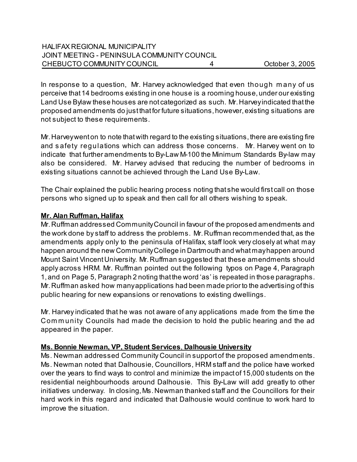In response to a question, Mr. Harvey acknowledged that even though m any of us perceive that 14 bedrooms existing in one house is a rooming house, under our existing Land Use Bylaw these houses are not categorized as such. Mr. Harvey indicated that the proposed amendments do just that for future situations, however, existing situations are not subject to these requirements.

Mr. Harvey went on to note that with regard to the existing situations, there are existing fire and s afety regulations which can address those concerns. Mr. Harvey went on to indicate that further amendments to By-Law M-100 the Minimum Standards By-law may also be considered. Mr. Harvey advised that reducing the number of bedrooms in existing situations cannot be achieved through the Land Use By-Law.

The Chair explained the public hearing process noting that she would first call on those persons who signed up to speak and then call for all others wishing to speak.

# **Mr. Alan Ruffman, Halifax**

Mr. Ruffman addressed Community Council in favour of the proposed amendments and the work done by staff to address the problems. Mr. Ruffman recommended that, as the amendments apply only to the peninsula of Halifax, staff look very closely at what may happen around the new Community College in Dartmouth and what may happen around Mount Saint Vincent University. Mr. Ruffman suggested that these amendments should apply across HRM. Mr. Ruffman pointed out the following typos on Page 4, Paragraph 1, and on Page 5, Paragraph 2 noting that the word 'as' is repeated in those paragraphs. Mr. Ruffman asked how many applications had been made prior to the advertising of this public hearing for new expansions or renovations to existing dwellings.

Mr. Harvey indicated that he was not aware of any applications made from the time the Community Councils had made the decision to hold the public hearing and the ad appeared in the paper.

#### **Ms. Bonnie Newman, VP, Student Services**, **Dalhousie University**

Ms. Newman addressed Community Council in support of the proposed amendments. Ms. Newman noted that Dalhousie, Councillors, HRM staff and the police have worked over the years to find ways to control and minimize the impact of 15,000 students on the residential neighbourhoods around Dalhousie. This By-Law will add greatly to other initiatives underway. In closing, Ms. Newman thanked staff and the Councillors for their hard work in this regard and indicated that Dalhousie would continue to work hard to improve the situation.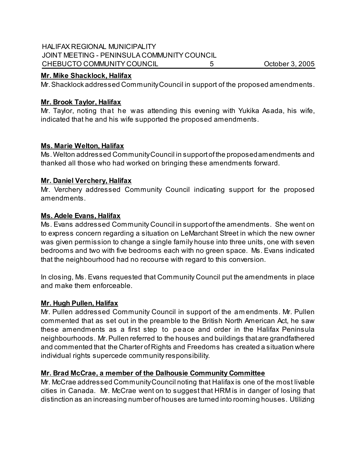## HALIFAX REGIONAL MUNICIPALITY JOINT MEETING - PENINSULA COMMUNITY COUNCIL CHEBUCTO COMMUNITY COUNCIL 5 CHEBUCTO COMMUNITY COUNCIL 5

### **Mr. Mike Shacklock, Halifax**

Mr. Shacklock addressed Community Council in support of the proposed amendments.

## **Mr. Brook Taylor, Halifax**

Mr. Taylor, noting that he was attending this evening with Yukika Asada, his wife, indicated that he and his wife supported the proposed amendments.

### **Ms. Marie Welton, Halifax**

Ms. Welton addressed Community Council in support of the proposed amendments and thanked all those who had worked on bringing these amendments forward.

### **Mr. Daniel Verchery, Halifax**

Mr. Verchery addressed Community Council indicating support for the proposed amendments.

### **Ms. Adele Evans, Halifax**

Ms. Evans addressed Community Council in support of the amendments. She went on to express concern regarding a situation on LeMarchant Street in which the new owner was given permission to change a single family house into three units, one with seven bedrooms and two with five bedrooms each with no green space. Ms. Evans indicated that the neighbourhood had no recourse with regard to this conversion.

In closing, Ms. Evans requested that Community Council put the amendments in place and make them enforceable.

#### **Mr. Hugh Pullen, Halifax**

Mr. Pullen addressed Community Council in support of the am endments. Mr. Pullen commented that as set out in the preamble to the British North American Act, he saw these amendments as a first step to peace and order in the Halifax Peninsula neighbourhoods. Mr. Pullen referred to the houses and buildings that are grandfathered and commented that the Charter of Rights and Freedoms has created a situation where individual rights supercede community responsibility.

# **Mr. Brad McCrae, a member of the Dalhousie Community Committee**

Mr. McCrae addressed Community Council noting that Halifax is one of the most livable cities in Canada. Mr. McCrae went on to suggest that HRM is in danger of losing that distinction as an increasing number of houses are turned into rooming houses. Utilizing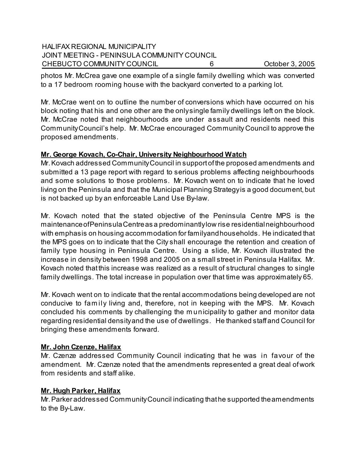## HALIFAX REGIONAL MUNICIPALITY JOINT MEETING - PENINSULA COMMUNITY COUNCIL CHEBUCTO COMMUNITY COUNCIL 6 CHEBUCTO COMMUNITY COUNCIL 6

photos Mr. McCrea gave one example of a single family dwelling which was converted to a 17 bedroom rooming house with the backyard converted to a parking lot.

Mr. McCrae went on to outline the number of conversions which have occurred on his block noting that his and one other are the only single family dwellings left on the block. Mr. McCrae noted that neighbourhoods are under assault and residents need this Community Council's help. Mr. McCrae encouraged Community Council to approve the proposed amendments.

# **Mr. George Kovach, Co-Chair, University Neighbourhood Watch**

Mr. Kovach addressed Community Council in support of the proposed amendments and submitted a 13 page report with regard to serious problems affecting neighbourhoods and some solutions to those problems. Mr. Kovach went on to indicate that he loved living on the Peninsula and that the Municipal Planning Strategy is a good document, but is not backed up by an enforceable Land Use By-law.

Mr. Kovach noted that the stated objective of the Peninsula Centre MPS is the maintenance of Peninsula Centre as a predominantly low rise residential neighbourhood with emphasis on housing accommodation for family and households. He indicated that the MPS goes on to indicate that the City shall encourage the retention and creation of family type housing in Peninsula Centre. Using a slide, Mr. Kovach illustrated the increase in density between 1998 and 2005 on a small street in Peninsula Halifax. Mr. Kovach noted that this increase was realized as a result of structural changes to single family dwellings. The total increase in population over that time was approximately 65.

Mr. Kovach went on to indicate that the rental accommodations being developed are not conducive to fam ily living and, therefore, not in keeping with the MPS. Mr. Kovach concluded his comments by challenging the m unicipality to gather and monitor data regarding residential density and the use of dwellings. He thanked staff and Council for bringing these amendments forward.

# **Mr. John Czenze, Halifax**

Mr. Czenze addressed Community Council indicating that he was in favour of the amendment. Mr. Czenze noted that the amendments represented a great deal of work from residents and staff alike.

#### **Mr. Hugh Parker, Halifax**

Mr. Parker addressed Community Council indicating that he supported the amendments to the By-Law.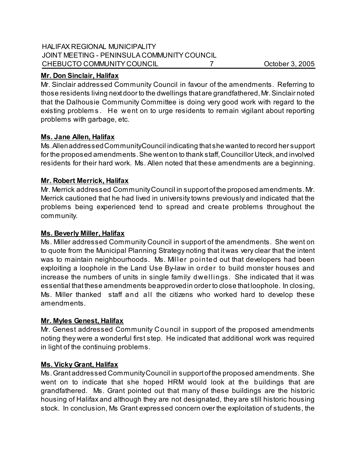#### HALIFAX REGIONAL MUNICIPALITY JOINT MEETING - PENINSULA COMMUNITY COUNCIL CHEBUCTO COMMUNITY COUNCIL 7 7 COUNCIL 0 7

## **Mr. Don Sinclair, Halifax**

Mr. Sinclair addressed Community Council in favour of the amendments. Referring to those residents living next door to the dwellings that are grandfathered, Mr. Sinclair noted that the Dalhousie Community Committee is doing very good work with regard to the existing problems. He went on to urge residents to remain vigilant about reporting problems with garbage, etc.

# **Ms. Jane Allen, Halifax**

Ms. Allen addressed Community Council indicating that she wanted to record her support for the proposed amendments. She went on to thank staff, Councillor Uteck, and involved residents for their hard work. Ms. Allen noted that these amendments are a beginning.

### **Mr. Robert Merrick, Halifax**

Mr. Merrick addressed Community Council in support of the proposed amendments. Mr. Merrick cautioned that he had lived in university towns previously and indicated that the problems being experienced tend to spread and create problems throughout the community.

## **Ms. Beverly Miller, Halifax**

Ms. Miller addressed Community Council in support of the amendments. She went on to quote from the Municipal Planning Strategy noting that it was very clear that the intent was to maintain neighbourhoods. Ms. Miller pointed out that developers had been exploiting a loophole in the Land Use By-law in order to build monster houses and increase the numbers of units in single family dwellings. She indicated that it was essential that these amendments be approved in order to close that loophole. In closing, Ms. Miller thanked staff and all the citizens who worked hard to develop these amendments.

#### **Mr. Myles Genest, Halifax**

Mr. Genest addressed Community Council in support of the proposed amendments noting they were a wonderful first step. He indicated that additional work was required in light of the continuing problems.

#### **Ms. Vicky Grant, Halifax**

Ms. Grant addressed Community Council in support of the proposed amendments. She went on to indicate that she hoped HRM would look at the buildings that are grandfathered. Ms. Grant pointed out that many of these buildings are the historic housing of Halifax and although they are not designated, they are still historic housing stock. In conclusion, Ms Grant expressed concern over the exploitation of students, the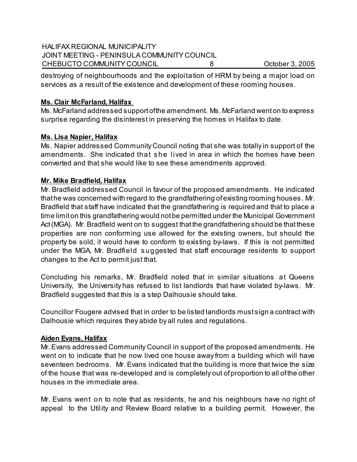# HALIFAX REGIONAL MUNICIPALITY JOINT MEETING - PENINSULA COMMUNITY COUNCIL CHEBUCTO COMMUNITY COUNCIL 8 October 3, 2005

destroying of neighbourhoods and the exploitation of HRM by being a major load on services as a result of the existence and development of these rooming houses.

# **Ms. Clair McFarland, Halifax**

Ms. McFarland addressed support of the amendment. Ms. McFarland went on to express surprise regarding the disinterest in preserving the homes in Halifax to date.

# **Ms. Lisa Napier, Halifax**

Ms. Napier addressed Community Council noting that she was totally in support of the amendments. She indicated that s he lived in area in which the homes have been converted and that she would like to see these amendments approved.

# **Mr. Mike Bradfield, Halifax**

Mr. Bradfield addressed Council in favour of the proposed amendments. He indicated that he was concerned with regard to the grandfathering of existing rooming houses. Mr. Bradfield that staff have indicated that the grandfathering is required and that to place a time limit on this grandfathering would not be permitted under the Municipal Government Act (MGA). Mr. Bradfield went on to suggest that the grandfathering should be that these properties are non conforming use allowed for the existing owners, but should the property be sold, it would have to conform to existing by-laws. If this is not permitted under the MGA, Mr. Bradfield s uggested that staff encourage residents to support changes to the Act to permit just that.

Concluding his remarks, Mr. Bradfield noted that in similar situations at Queens University, the University has refused to list landlords that have violated by-laws. Mr. Bradfield suggested that this is a step Dalhousie should take.

Councillor Fougere advised that in order to be listed landlords must sign a contract with Dalhousie which requires they abide by all rules and regulations.

#### **Aiden Evans, Halifax**

Mr. Evans addressed Community Council in support of the proposed amendments. He went on to indicate that he now lived one house away from a building which will have seventeen bedrooms. Mr. Evans indicated that the building is more that twice the size of the house that was re-developed and is completely out of proportion to all of the other houses in the immediate area.

Mr. Evans went on to note that as residents, he and his neighbours have no right of appeal to the Utility and Review Board relative to a building permit. However, the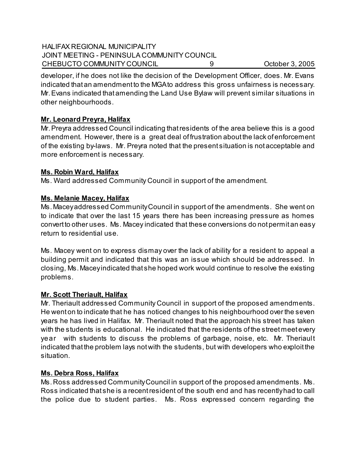## HALIFAX REGIONAL MUNICIPALITY JOINT MEETING - PENINSULA COMMUNITY COUNCIL CHEBUCTO COMMUNITY COUNCIL 9 0 0ctober 3, 2005

developer, if he does not like the decision of the Development Officer, does. Mr. Evans indicated that an amendment to the MGA to address this gross unfairness is necessary. Mr. Evans indicated that amending the Land Use Bylaw will prevent similar situations in other neighbourhoods.

# **Mr. Leonard Preyra, Halifax**

Mr. Preyra addressed Council indicating that residents of the area believe this is a good amendment. However, there is a great deal of frustration about the lack of enforcement of the existing by-laws. Mr. Preyra noted that the present situation is not acceptable and more enforcement is necessary.

# **Ms. Robin Ward, Halifax**

Ms. Ward addressed Community Council in support of the amendment.

# **Ms. Melanie Macey, Halifax**

Ms. Macey addressed Community Council in support of the amendments. She went on to indicate that over the last 15 years there has been increasing pressure as homes convert to other uses. Ms. Macey indicated that these conversions do not permit an easy return to residential use.

Ms. Macey went on to express dismay over the lack of ability for a resident to appeal a building permit and indicated that this was an issue which should be addressed. In closing, Ms. Macey indicated that she hoped work would continue to resolve the existing problems.

# **Mr. Scott Theriault, Halifax**

Mr. Theriault addressed Community Council in support of the proposed amendments. He went on to indicate that he has noticed changes to his neighbourhood over the seven years he has lived in Halifax. Mr. Theriault noted that the approach his street has taken with the students is educational. He indicated that the residents of the street meet every year with students to discuss the problems of garbage, noise, etc. Mr. Theriault indicated that the problem lays not with the students, but with developers who exploit the situation.

# **Ms. Debra Ross, Halifax**

Ms. Ross addressed Community Council in support of the proposed amendments. Ms. Ross indicated that she is a recent resident of the south end and has recently had to call the police due to student parties. Ms. Ross expressed concern regarding the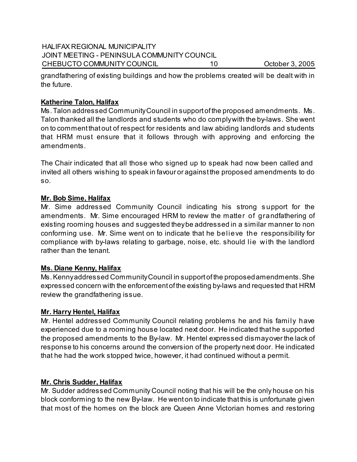## HALIFAX REGIONAL MUNICIPALITY JOINT MEETING - PENINSULA COMMUNITY COUNCIL CHEBUCTO COMMUNITY COUNCIL 10 0ctober 3, 2005

grandfathering of existing buildings and how the problems created will be dealt with in the future.

## **Katherine Talon, Halifax**

Ms. Talon addressed Community Council in support of the proposed amendments. Ms. Talon thanked all the landlords and students who do comply with the by-laws. She went on to comment that out of respect for residents and law abiding landlords and students that HRM must ensure that it follows through with approving and enforcing the amendments.

The Chair indicated that all those who signed up to speak had now been called and invited all others wishing to speak in favour or against the proposed amendments to do so.

### **Mr. Bob Sime, Halifax**

Mr. Sime addressed Community Council indicating his strong s upport for the amendments. Mr. Sime encouraged HRM to review the matter of grandfathering of existing rooming houses and suggested they be addressed in a similar manner to non conforming use. Mr. Sime went on to indicate that he believe the responsibility for compliance with by-laws relating to garbage, noise, etc. should lie with the landlord rather than the tenant.

# **Ms. Diane Kenny, Halifax**

Ms. Kenny addressed Community Council in support of the proposed amendments. She expressed concern with the enforcement of the existing by-laws and requested that HRM review the grandfathering issue.

# **Mr. Harry Hentel, Halifax**

Mr. Hentel addressed Community Council relating problems he and his family have experienced due to a rooming house located next door. He indicated that he supported the proposed amendments to the By-law. Mr. Hentel expressed dismay over the lack of response to his concerns around the conversion of the property next door. He indicated that he had the work stopped twice, however, it had continued without a permit.

# **Mr. Chris Sudder, Halifax**

Mr. Sudder addressed Community Council noting that his will be the only house on his block conforming to the new By-law. He went on to indicate that this is unfortunate given that most of the homes on the block are Queen Anne Victorian homes and restoring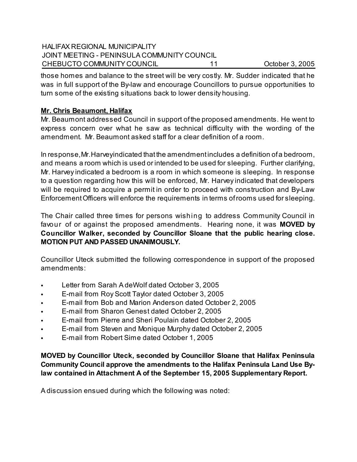# HALIFAX REGIONAL MUNICIPALITY JOINT MEETING - PENINSULA COMMUNITY COUNCIL CHEBUCTO COMMUNITY COUNCIL 11 October 3, 2005

those homes and balance to the street will be very costly. Mr. Sudder indicated that he was in full support of the By-law and encourage Councillors to pursue opportunities to turn some of the existing situations back to lower density housing.

# **Mr. Chris Beaumont, Halifax**

Mr. Beaumont addressed Council in support of the proposed amendments. He went to express concern over what he saw as technical difficulty with the wording of the amendment. Mr. Beaumont asked staff for a clear definition of a room.

In response, Mr. Harvey indicated that the amendment includes a definition of a bedroom, and means a room which is used or intended to be used for sleeping. Further clarifying, Mr. Harvey indicated a bedroom is a room in which someone is sleeping. In response to a question regarding how this will be enforced, Mr. Harvey indicated that developers will be required to acquire a permit in order to proceed with construction and By-Law Enforcement Officers will enforce the requirements in terms of rooms used for sleeping.

The Chair called three times for persons wishing to address Community Council in favour of or against the proposed amendments. Hearing none, it was **MOVED by Councillor Walker, seconded by Councillor Sloane that the public hearing close. MOTION PUT AND PASSED UNANIMOUSLY.**

Councillor Uteck submitted the following correspondence in support of the proposed amendments:

- Letter from Sarah A deWolf dated October 3, 2005
- E-mail from Roy Scott Taylor dated October 3, 2005
- E-mail from Bob and Marion Anderson dated October 2, 2005
- E-mail from Sharon Genest dated October 2, 2005
- E-mail from Pierre and Sheri Poulain dated October 2, 2005
- E-mail from Steven and Monique Murphy dated October 2, 2005
- E-mail from Robert Sime dated October 1, 2005

**MOVED by Councillor Uteck, seconded by Councillor Sloane that Halifax Peninsula Community Council approve the amendments to the Halifax Peninsula Land Use Bylaw contained in Attachment A of the September 15, 2005 Supplementary Report.** 

A discussion ensued during which the following was noted: